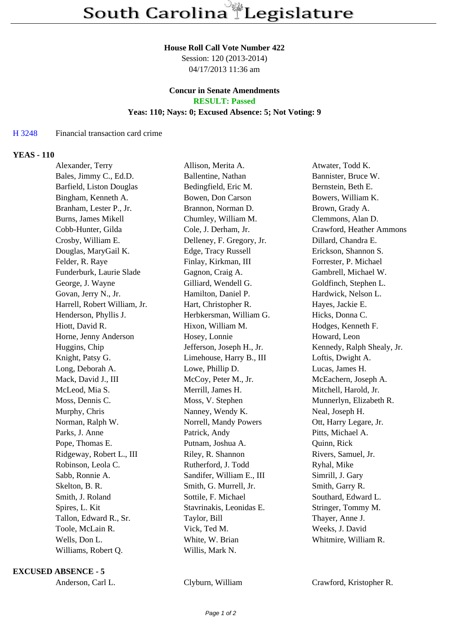### **House Roll Call Vote Number 422**

Session: 120 (2013-2014) 04/17/2013 11:36 am

### **Concur in Senate Amendments RESULT: Passed**

### **Yeas: 110; Nays: 0; Excused Absence: 5; Not Voting: 9**

## H 3248 Financial transaction card crime

## **YEAS - 110**

| Alexander, Terry             | Allison, Merita A.        | Atwater, Todd K.           |
|------------------------------|---------------------------|----------------------------|
| Bales, Jimmy C., Ed.D.       | Ballentine, Nathan        | Bannister, Bruce W.        |
| Barfield, Liston Douglas     | Bedingfield, Eric M.      | Bernstein, Beth E.         |
| Bingham, Kenneth A.          | Bowen, Don Carson         | Bowers, William K.         |
| Branham, Lester P., Jr.      | Brannon, Norman D.        | Brown, Grady A.            |
| <b>Burns, James Mikell</b>   | Chumley, William M.       | Clemmons, Alan D.          |
| Cobb-Hunter, Gilda           | Cole, J. Derham, Jr.      | Crawford, Heather Ammons   |
| Crosby, William E.           | Delleney, F. Gregory, Jr. | Dillard, Chandra E.        |
| Douglas, MaryGail K.         | Edge, Tracy Russell       | Erickson, Shannon S.       |
| Felder, R. Raye              | Finlay, Kirkman, III      | Forrester, P. Michael      |
| Funderburk, Laurie Slade     | Gagnon, Craig A.          | Gambrell, Michael W.       |
| George, J. Wayne             | Gilliard, Wendell G.      | Goldfinch, Stephen L.      |
| Govan, Jerry N., Jr.         | Hamilton, Daniel P.       | Hardwick, Nelson L.        |
| Harrell, Robert William, Jr. | Hart, Christopher R.      | Hayes, Jackie E.           |
| Henderson, Phyllis J.        | Herbkersman, William G.   | Hicks, Donna C.            |
| Hiott, David R.              | Hixon, William M.         | Hodges, Kenneth F.         |
| Horne, Jenny Anderson        | Hosey, Lonnie             | Howard, Leon               |
| Huggins, Chip                | Jefferson, Joseph H., Jr. | Kennedy, Ralph Shealy, Jr. |
| Knight, Patsy G.             | Limehouse, Harry B., III  | Loftis, Dwight A.          |
| Long, Deborah A.             | Lowe, Phillip D.          | Lucas, James H.            |
| Mack, David J., III          | McCoy, Peter M., Jr.      | McEachern, Joseph A.       |
| McLeod, Mia S.               | Merrill, James H.         | Mitchell, Harold, Jr.      |
| Moss, Dennis C.              | Moss, V. Stephen          | Munnerlyn, Elizabeth R.    |
| Murphy, Chris                | Nanney, Wendy K.          | Neal, Joseph H.            |
| Norman, Ralph W.             | Norrell, Mandy Powers     | Ott, Harry Legare, Jr.     |
| Parks, J. Anne               | Patrick, Andy             | Pitts, Michael A.          |
| Pope, Thomas E.              | Putnam, Joshua A.         | Quinn, Rick                |
| Ridgeway, Robert L., III     | Riley, R. Shannon         | Rivers, Samuel, Jr.        |
| Robinson, Leola C.           | Rutherford, J. Todd       | Ryhal, Mike                |
| Sabb, Ronnie A.              | Sandifer, William E., III | Simrill, J. Gary           |
| Skelton, B. R.               | Smith, G. Murrell, Jr.    | Smith, Garry R.            |
| Smith, J. Roland             | Sottile, F. Michael       | Southard, Edward L.        |
| Spires, L. Kit               | Stavrinakis, Leonidas E.  | Stringer, Tommy M.         |
| Tallon, Edward R., Sr.       | Taylor, Bill              | Thayer, Anne J.            |
| Toole, McLain R.             | Vick, Ted M.              | Weeks, J. David            |
| Wells, Don L.                | White, W. Brian           | Whitmire, William R.       |
| Williams, Robert Q.          | Willis, Mark N.           |                            |
|                              |                           |                            |

### **EXCUSED ABSENCE - 5**

Anderson, Carl L. Clyburn, William Crawford, Kristopher R.